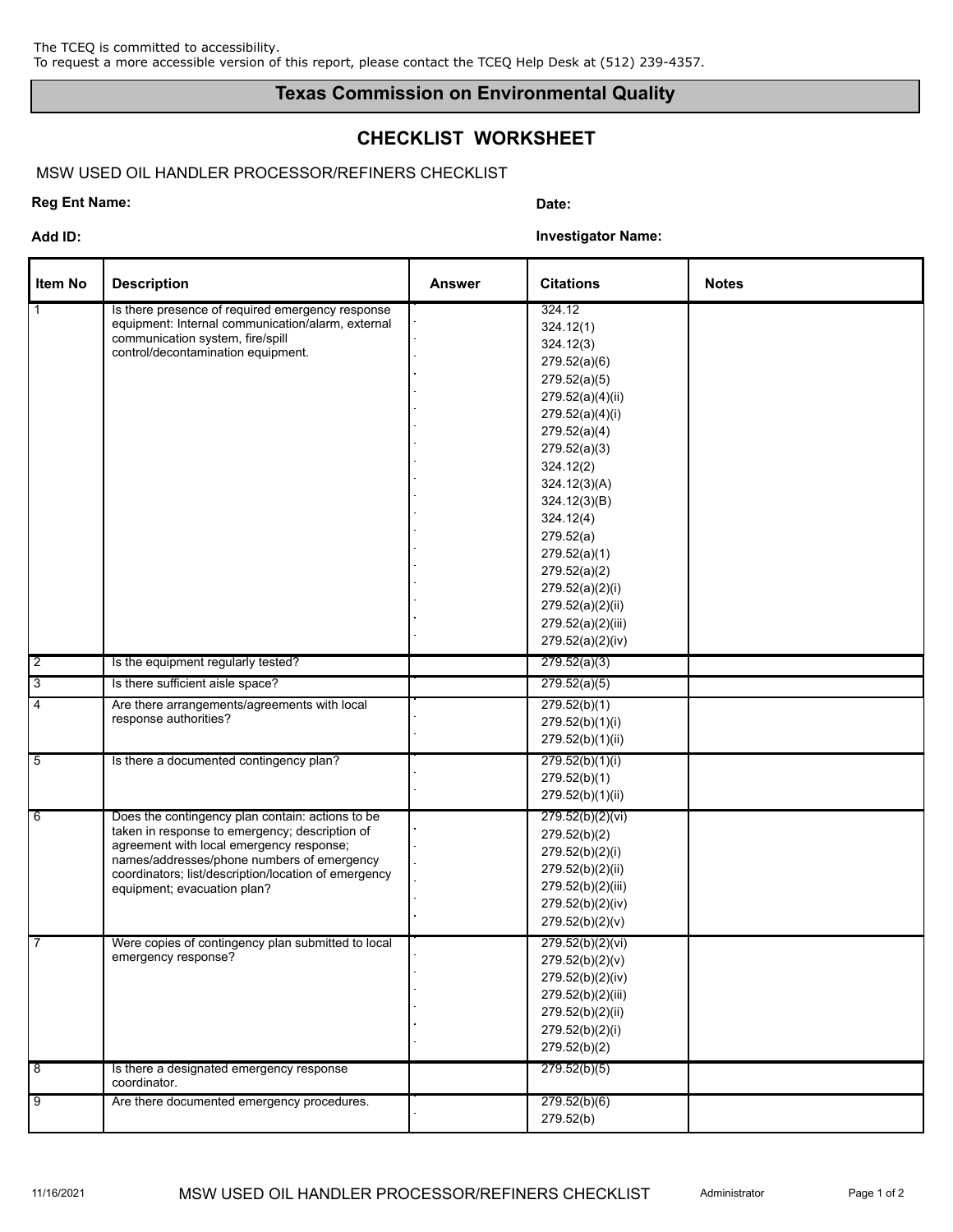## **Texas Commission on Environmental Quality**

# **CHECKLIST WORKSHEET**

### MSW USED OIL HANDLER PROCESSOR/REFINERS CHECKLIST

### **Reg Ent Name:** Date: **Date: Date: Date: Date: Date: Date: Date: Date: Date: Date: Date: Date: Date: Date: Date: Date: Date: Date: Date: Date: Date: Date: Date: Date: Date:**

**Add ID: Investigator Name:**

| <b>Item No</b> | <b>Description</b>                                                                                                                                                                                                                                                                  | <b>Answer</b> | <b>Citations</b>                                                                                                                                                                                                                                                                                                               | <b>Notes</b> |
|----------------|-------------------------------------------------------------------------------------------------------------------------------------------------------------------------------------------------------------------------------------------------------------------------------------|---------------|--------------------------------------------------------------------------------------------------------------------------------------------------------------------------------------------------------------------------------------------------------------------------------------------------------------------------------|--------------|
| $\mathbf{1}$   | Is there presence of required emergency response<br>equipment: Internal communication/alarm, external<br>communication system, fire/spill<br>control/decontamination equipment.                                                                                                     |               | 324.12<br>324.12(1)<br>324.12(3)<br>279.52(a)(6)<br>279.52(a)(5)<br>279.52(a)(4)(ii)<br>279.52(a)(4)(i)<br>279.52(a)(4)<br>279.52(a)(3)<br>324.12(2)<br>324.12(3)(A)<br>324.12(3)(B)<br>324.12(4)<br>279.52(a)<br>279.52(a)(1)<br>279.52(a)(2)<br>279.52(a)(2)(i)<br>279.52(a)(2)(ii)<br>279.52(a)(2)(iii)<br>279.52(a)(2)(iv) |              |
| $\sqrt{2}$     | Is the equipment regularly tested?                                                                                                                                                                                                                                                  |               | 279.52(a)(3)                                                                                                                                                                                                                                                                                                                   |              |
| $\sqrt{3}$     | Is there sufficient aisle space?                                                                                                                                                                                                                                                    |               | 279.52(a)(5)                                                                                                                                                                                                                                                                                                                   |              |
| 4              | Are there arrangements/agreements with local<br>response authorities?                                                                                                                                                                                                               |               | 279.52(b)(1)<br>279.52(b)(1)(i)<br>279.52(b)(1)(ii)                                                                                                                                                                                                                                                                            |              |
| $\overline{5}$ | Is there a documented contingency plan?                                                                                                                                                                                                                                             |               | 279.52(b)(1)(i)<br>279.52(b)(1)<br>279.52(b)(1)(ii)                                                                                                                                                                                                                                                                            |              |
| 6              | Does the contingency plan contain: actions to be<br>taken in response to emergency; description of<br>agreement with local emergency response;<br>names/addresses/phone numbers of emergency<br>coordinators; list/description/location of emergency<br>equipment; evacuation plan? |               | 279.52(b)(2)(vi)<br>279.52(b)(2)<br>279.52(b)(2)(i)<br>279.52(b)(2)(ii)<br>279.52(b)(2)(iii)<br>279.52(b)(2)(iv)<br>279.52(b)(2)(v)                                                                                                                                                                                            |              |
| 7              | Were copies of contingency plan submitted to local<br>emergency response?                                                                                                                                                                                                           |               | 279.52(b)(2)(vi)<br>279.52(b)(2)(v)<br>279.52(b)(2)(iv)<br>279.52(b)(2)(iii)<br>279.52(b)(2)(ii)<br>279.52(b)(2)(i)<br>279.52(b)(2)                                                                                                                                                                                            |              |
| 8              | Is there a designated emergency response<br>coordinator.                                                                                                                                                                                                                            |               | 279.52(b)(5)                                                                                                                                                                                                                                                                                                                   |              |
| 9              | Are there documented emergency procedures.                                                                                                                                                                                                                                          |               | 279.52(b)(6)<br>279.52(b)                                                                                                                                                                                                                                                                                                      |              |